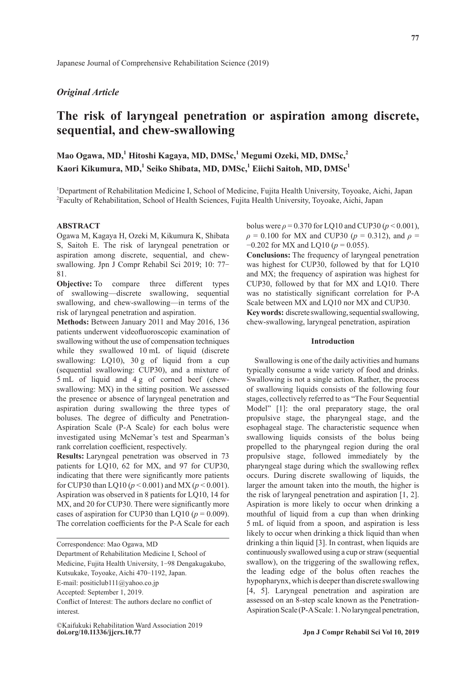# *Original Article*

# **The risk of laryngeal penetration or aspiration among discrete, sequential, and chew-swallowing**

Mao Ogawa, MD,<sup>1</sup> Hitoshi Kagaya, MD, DMSc,<sup>1</sup> Megumi Ozeki, MD, DMSc,<sup>2</sup> **Kaori Kikumura, MD,1 Seiko Shibata, MD, DMSc,<sup>1</sup> Eiichi Saitoh, MD, DMSc1**

<sup>1</sup>Department of Rehabilitation Medicine I, School of Medicine, Fujita Health University, Toyoake, Aichi, Japan 2 Faculty of Rehabilitation, School of Health Sciences, Fujita Health University, Toyoake, Aichi, Japan

#### **ABSTRACT**

Ogawa M, Kagaya H, Ozeki M, Kikumura K, Shibata S, Saitoh E. The risk of laryngeal penetration or aspiration among discrete, sequential, and chewswallowing. Jpn J Compr Rehabil Sci 2019; 10: 77- 81.

**Objective:** To compare three different types of swallowing—discrete swallowing, sequential swallowing, and chew-swallowing—in terms of the risk of laryngeal penetration and aspiration.

**Methods:** Between January 2011 and May 2016, 136 patients underwent videofluoroscopic examination of swallowing without the use of compensation techniques while they swallowed 10 mL of liquid (discrete swallowing: LQ10), 30 g of liquid from a cup (sequential swallowing: CUP30), and a mixture of 5 mL of liquid and 4 g of corned beef (chewswallowing: MX) in the sitting position. We assessed the presence or absence of laryngeal penetration and aspiration during swallowing the three types of boluses. The degree of difficulty and Penetration-Aspiration Scale (P-A Scale) for each bolus were investigated using McNemar's test and Spearman's rank correlation coefficient, respectively.

**Results:** Laryngeal penetration was observed in 73 patients for LQ10, 62 for MX, and 97 for CUP30, indicating that there were significantly more patients for CUP30 than LQ10 (*p* < 0.001) and MX (*p* < 0.001). Aspiration was observed in 8 patients for LQ10, 14 for MX, and 20 for CUP30. There were significantly more cases of aspiration for CUP30 than LQ10 ( $p = 0.009$ ). The correlation coefficients for the P-A Scale for each

Correspondence: Mao Ogawa, MD

Medicine, Fujita Health University, 1-98 Dengakugakubo,

bolus were  $\rho = 0.370$  for LQ10 and CUP30 ( $p < 0.001$ ), *ρ* = 0.100 for MX and CUP30 (*p* = 0.312), and *ρ* = −0.202 for MX and LQ10 (*p* = 0.055).

**Conclusions:** The frequency of laryngeal penetration was highest for CUP30, followed by that for LQ10 and MX; the frequency of aspiration was highest for CUP30, followed by that for MX and LQ10. There was no statistically significant correlation for P-A Scale between MX and LQ10 nor MX and CUP30. **Key words:** discrete swallowing, sequential swallowing, chew-swallowing, laryngeal penetration, aspiration

### **Introduction**

Swallowing is one of the daily activities and humans typically consume a wide variety of food and drinks. Swallowing is not a single action. Rather, the process of swallowing liquids consists of the following four stages, collectively referred to as "The Four Sequential Model" [1]: the oral preparatory stage, the oral propulsive stage, the pharyngeal stage, and the esophageal stage. The characteristic sequence when swallowing liquids consists of the bolus being propelled to the pharyngeal region during the oral propulsive stage, followed immediately by the pharyngeal stage during which the swallowing reflex occurs. During discrete swallowing of liquids, the larger the amount taken into the mouth, the higher is the risk of laryngeal penetration and aspiration [1, 2]. Aspiration is more likely to occur when drinking a mouthful of liquid from a cup than when drinking 5 mL of liquid from a spoon, and aspiration is less likely to occur when drinking a thick liquid than when drinking a thin liquid [3]. In contrast, when liquids are continuously swallowed using a cup or straw (sequential swallow), on the triggering of the swallowing reflex, the leading edge of the bolus often reaches the hypopharynx, which is deeper than discrete swallowing [4, 5]. Laryngeal penetration and aspiration are assessed on an 8-step scale known as the Penetration-Aspiration Scale (P-A Scale: 1. No laryngeal penetration,

Department of Rehabilitation Medicine I, School of

Kutsukake, Toyoake, Aichi 470-1192, Japan.

E-mail: positiclub111@yahoo.co.jp

Accepted: September 1, 2019.

Conflict of Interest: The authors declare no conflict of interest.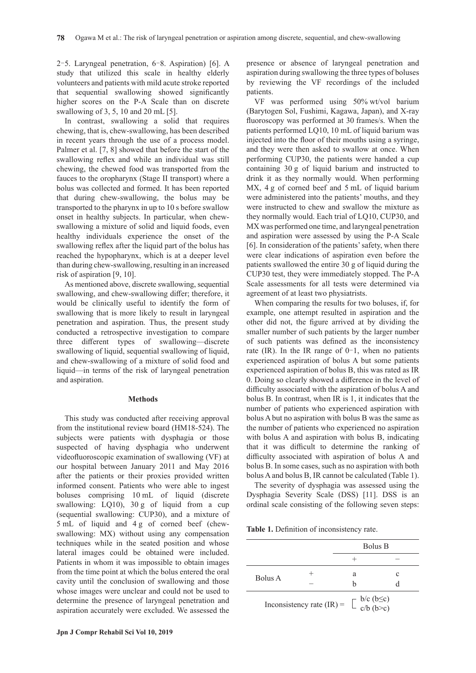2–5. Laryngeal penetration, 6–8. Aspiration) [6]. A study that utilized this scale in healthy elderly volunteers and patients with mild acute stroke reported that sequential swallowing showed significantly higher scores on the P-A Scale than on discrete swallowing of 3, 5, 10 and 20 mL [5].

In contrast, swallowing a solid that requires chewing, that is, chew-swallowing, has been described in recent years through the use of a process model. Palmer et al. [7, 8] showed that before the start of the swallowing reflex and while an individual was still chewing, the chewed food was transported from the fauces to the oropharynx (Stage II transport) where a bolus was collected and formed. It has been reported that during chew-swallowing, the bolus may be transported to the pharynx in up to 10 s before swallow onset in healthy subjects. In particular, when chewswallowing a mixture of solid and liquid foods, even healthy individuals experience the onset of the swallowing reflex after the liquid part of the bolus has reached the hypopharynx, which is at a deeper level than during chew-swallowing, resulting in an increased risk of aspiration [9, 10].

As mentioned above, discrete swallowing, sequential swallowing, and chew-swallowing differ; therefore, it would be clinically useful to identify the form of swallowing that is more likely to result in laryngeal penetration and aspiration. Thus, the present study conducted a retrospective investigation to compare three different types of swallowing—discrete swallowing of liquid, sequential swallowing of liquid, and chew-swallowing of a mixture of solid food and liquid—in terms of the risk of laryngeal penetration and aspiration.

#### **Methods**

This study was conducted after receiving approval from the institutional review board (HM18-524). The subjects were patients with dysphagia or those suspected of having dysphagia who underwent videofluoroscopic examination of swallowing (VF) at our hospital between January 2011 and May 2016 after the patients or their proxies provided written informed consent. Patients who were able to ingest boluses comprising 10 mL of liquid (discrete swallowing: LQ10), 30 g of liquid from a cup (sequential swallowing: CUP30), and a mixture of 5 mL of liquid and 4 g of corned beef (chewswallowing: MX) without using any compensation techniques while in the seated position and whose lateral images could be obtained were included. Patients in whom it was impossible to obtain images from the time point at which the bolus entered the oral cavity until the conclusion of swallowing and those whose images were unclear and could not be used to determine the presence of laryngeal penetration and aspiration accurately were excluded. We assessed the presence or absence of laryngeal penetration and aspiration during swallowing the three types of boluses by reviewing the VF recordings of the included patients.

VF was performed using 50% wt/vol barium (Barytogen Sol, Fushimi, Kagawa, Japan), and X-ray fluoroscopy was performed at 30 frames/s. When the patients performed LQ10, 10 mL of liquid barium was injected into the floor of their mouths using a syringe, and they were then asked to swallow at once. When performing CUP30, the patients were handed a cup containing 30 g of liquid barium and instructed to drink it as they normally would. When performing MX, 4 g of corned beef and 5 mL of liquid barium were administered into the patients' mouths, and they were instructed to chew and swallow the mixture as they normally would. Each trial of LQ10, CUP30, and MX was performed one time, and laryngeal penetration and aspiration were assessed by using the P-A Scale [6]. In consideration of the patients' safety, when there were clear indications of aspiration even before the patients swallowed the entire 30 g of liquid during the CUP30 test, they were immediately stopped. The P-A Scale assessments for all tests were determined via agreement of at least two physiatrists.

When comparing the results for two boluses, if, for example, one attempt resulted in aspiration and the other did not, the figure arrived at by dividing the smaller number of such patients by the larger number of such patients was defined as the inconsistency rate (IR). In the IR range of  $0-1$ , when no patients experienced aspiration of bolus A but some patients experienced aspiration of bolus B, this was rated as IR 0. Doing so clearly showed a difference in the level of difficulty associated with the aspiration of bolus A and bolus B. In contrast, when IR is 1, it indicates that the number of patients who experienced aspiration with bolus A but no aspiration with bolus B was the same as the number of patients who experienced no aspiration with bolus A and aspiration with bolus B, indicating that it was difficult to determine the ranking of difficulty associated with aspiration of bolus A and bolus B. In some cases, such as no aspiration with both bolus A and bolus B, IR cannot be calculated (Table 1).

The severity of dysphagia was assessed using the Dysphagia Severity Scale (DSS) [11]. DSS is an ordinal scale consisting of the following seven steps:

**Table 1.** Definition of inconsistency rate.

|         |                             | <b>Bolus B</b>                                                   |   |  |
|---------|-----------------------------|------------------------------------------------------------------|---|--|
|         |                             |                                                                  |   |  |
| Bolus A |                             | a<br>h                                                           | C |  |
|         | Inconsistency rate $(IR)$ = | $\begin{bmatrix} b/c & (b \le c) \\ c/b & (b > c) \end{bmatrix}$ |   |  |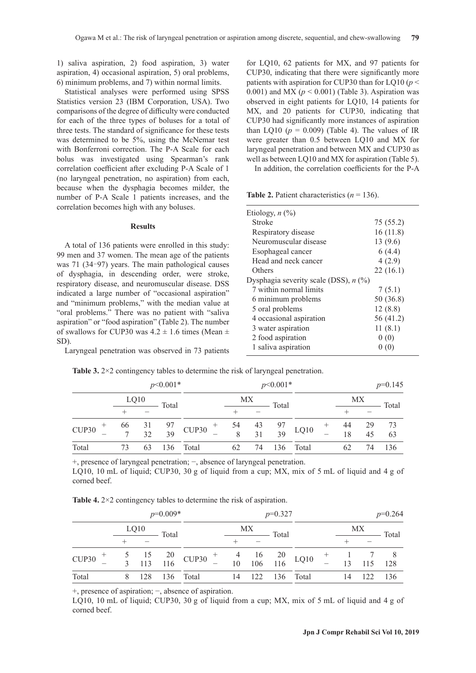1) saliva aspiration, 2) food aspiration, 3) water aspiration, 4) occasional aspiration, 5) oral problems, 6) minimum problems, and 7) within normal limits.

Statistical analyses were performed using SPSS Statistics version 23 (IBM Corporation, USA). Two comparisons of the degree of difficulty were conducted for each of the three types of boluses for a total of three tests. The standard of significance for these tests was determined to be 5%, using the McNemar test with Bonferroni correction. The P-A Scale for each bolus was investigated using Spearman's rank correlation coefficient after excluding P-A Scale of 1 (no laryngeal penetration, no aspiration) from each, because when the dysphagia becomes milder, the number of P-A Scale 1 patients increases, and the correlation becomes high with any boluses.

#### **Results**

A total of 136 patients were enrolled in this study: 99 men and 37 women. The mean age of the patients was 71 (34–97) years. The main pathological causes of dysphagia, in descending order, were stroke, respiratory disease, and neuromuscular disease. DSS indicated a large number of "occasional aspiration" and "minimum problems," with the median value at "oral problems." There was no patient with "saliva aspiration" or "food aspiration" (Table 2). The number of swallows for CUP30 was  $4.2 \pm 1.6$  times (Mean  $\pm$ SD).

Laryngeal penetration was observed in 73 patients

for LQ10, 62 patients for MX, and 97 patients for CUP30, indicating that there were significantly more patients with aspiration for CUP30 than for LQ10 (*p* < 0.001) and MX  $(p < 0.001)$  (Table 3). Aspiration was observed in eight patients for LQ10, 14 patients for MX, and 20 patients for CUP30, indicating that CUP30 had significantly more instances of aspiration than LQ10 ( $p = 0.009$ ) (Table 4). The values of IR were greater than 0.5 between LQ10 and MX for laryngeal penetration and between MX and CUP30 as well as between LQ10 and MX for aspiration (Table 5).

In addition, the correlation coefficients for the P-A

**Table 2.** Patient characteristics  $(n = 136)$ .

| Etiology, $n$ $(\%)$                    |           |
|-----------------------------------------|-----------|
| Stroke                                  | 75 (55.2) |
| Respiratory disease                     | 16(11.8)  |
| Neuromuscular disease                   | 13(9.6)   |
| Esophageal cancer                       | 6(4.4)    |
| Head and neck cancer                    | 4(2.9)    |
| Others                                  | 22(16.1)  |
| Dysphagia severity scale (DSS), $n$ (%) |           |
| 7 within normal limits                  | 7(5.1)    |
| 6 minimum problems                      | 50 (36.8) |
| 5 oral problems                         | 12(8.8)   |
| 4 occasional aspiration                 | 56 (41.2) |
| 3 water aspiration                      | 11(8.1)   |
| 2 food aspiration                       | 0(0)      |
| 1 saliva aspiration                     | (0)       |
|                                         |           |

**Table 3.** 2×2 contingency tables to determine the risk of laryngeal penetration.

| $p<0.001*$ |    |      |       | $p<0.001*$                                                                |    |    |       | $p=0.145$                                                          |        |    |     |       |
|------------|----|------|-------|---------------------------------------------------------------------------|----|----|-------|--------------------------------------------------------------------|--------|----|-----|-------|
|            |    | LQ10 | Total |                                                                           |    | МX | Total |                                                                    |        |    | МX  | Total |
|            |    |      |       |                                                                           |    |    |       |                                                                    |        |    |     |       |
| CUP30      | 66 |      |       | $\begin{array}{ccccc} 31 & 97 & 11 & 97 \\ 32 & 39 & 11 & 30 \end{array}$ |    |    |       |                                                                    | $^{+}$ | 44 | -29 | 73    |
|            |    |      |       |                                                                           |    |    |       | $\begin{array}{cccc} 54 & 43 & 97 \\ 8 & 31 & 39 \end{array}$ LQ10 |        | 18 | 45  | 63    |
| Total      | 73 | 63   |       | 136 Total                                                                 | 62 | 74 | 136   | Total                                                              |        |    | 74  | 136   |

+, presence of laryngeal penetration; −, absence of laryngeal penetration. LQ10, 10 mL of liquid; CUP30, 30 g of liquid from a cup; MX, mix of 5 mL of liquid and 4 g of corned beef.

**Table 4.** 2×2 contingency tables to determine the risk of aspiration.

| $p=0.009*$ |                     |     |       |                                                                                                                                                 | $p=0.327$ |     |  |           | $p=0.264$ |           |     |       |
|------------|---------------------|-----|-------|-------------------------------------------------------------------------------------------------------------------------------------------------|-----------|-----|--|-----------|-----------|-----------|-----|-------|
|            | LQ10<br>МX<br>Total |     | Total |                                                                                                                                                 |           | MX  |  |           |           |           |     |       |
|            |                     |     |       |                                                                                                                                                 |           |     |  |           |           |           |     | Total |
| CUP30      |                     |     |       |                                                                                                                                                 |           |     |  |           |           | $+$ 1 7 8 |     |       |
|            |                     |     |       | $\begin{array}{ccccccccc}\n5 & 15 & 20 & \text{CUP30} & + & 4 & 16 & 20 \\ 3 & 113 & 116 & \text{CUP30} & - & 10 & 106 & 116\n\end{array}$ LQ10 |           |     |  |           |           | 13        | 115 | 128   |
| Total      | 8                   | 128 |       | 136 Total                                                                                                                                       | 14        | 122 |  | 136 Total |           | 14        | 122 | 136   |

+, presence of aspiration; −, absence of aspiration.

LQ10, 10 mL of liquid; CUP30, 30 g of liquid from a cup; MX, mix of 5 mL of liquid and 4 g of corned beef.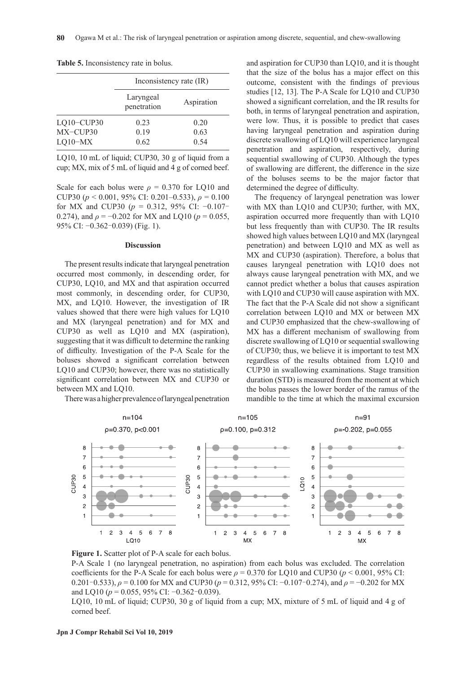|              | Inconsistency rate (IR)  |            |  |  |  |
|--------------|--------------------------|------------|--|--|--|
|              | Laryngeal<br>penetration | Aspiration |  |  |  |
| $LQ10-CUP30$ | 0.23                     | 0.20       |  |  |  |
| MX-CUP30     | 0.19                     | 0.63       |  |  |  |
| $LQ10-MX$    | 0.62                     | 0.54       |  |  |  |

**Table 5.** Inconsistency rate in bolus.

LQ10, 10 mL of liquid; CUP30, 30 g of liquid from a cup; MX, mix of 5 mL of liquid and 4 g of corned beef.

Scale for each bolus were  $\rho = 0.370$  for LQ10 and CUP30 (*p* < 0.001, 95% CI: 0.201–0.533), *ρ* = 0.100 for MX and CUP30 (*p* = 0.312, 95% CI: −0.107– 0.274), and  $\rho = -0.202$  for MX and LQ10 ( $p = 0.055$ , 95% CI: −0.362–0.039) (Fig. 1).

#### **Discussion**

The present results indicate that laryngeal penetration occurred most commonly, in descending order, for CUP30, LQ10, and MX and that aspiration occurred most commonly, in descending order, for CUP30, MX, and LO10. However, the investigation of IR values showed that there were high values for LQ10 and MX (laryngeal penetration) and for MX and CUP30 as well as LQ10 and MX (aspiration), suggesting that it was difficult to determine the ranking of difficulty. Investigation of the P-A Scale for the boluses showed a significant correlation between LQ10 and CUP30; however, there was no statistically significant correlation between MX and CUP30 or between MX and LQ10.

There was a higher prevalence of laryngeal penetration

and aspiration for CUP30 than LQ10, and it is thought that the size of the bolus has a major effect on this outcome, consistent with the findings of previous studies [12, 13]. The P-A Scale for LQ10 and CUP30 showed a significant correlation, and the IR results for both, in terms of laryngeal penetration and aspiration, were low. Thus, it is possible to predict that cases having laryngeal penetration and aspiration during discrete swallowing of LQ10 will experience laryngeal penetration and aspiration, respectively, during sequential swallowing of CUP30. Although the types of swallowing are different, the difference in the size of the boluses seems to be the major factor that determined the degree of difficulty.

The frequency of laryngeal penetration was lower with MX than LQ10 and CUP30; further, with MX, aspiration occurred more frequently than with LQ10 but less frequently than with CUP30. The IR results showed high values between LQ10 and MX (laryngeal penetration) and between LQ10 and MX as well as MX and CUP30 (aspiration). Therefore, a bolus that causes laryngeal penetration with LQ10 does not always cause laryngeal penetration with MX, and we cannot predict whether a bolus that causes aspiration with LQ10 and CUP30 will cause aspiration with MX. The fact that the P-A Scale did not show a significant correlation between LQ10 and MX or between MX and CUP30 emphasized that the chew-swallowing of MX has a different mechanism of swallowing from discrete swallowing of LQ10 or sequential swallowing of CUP30; thus, we believe it is important to test MX regardless of the results obtained from LQ10 and CUP30 in swallowing examinations. Stage transition duration (STD) is measured from the moment at which the bolus passes the lower border of the ramus of the mandible to the time at which the maximal excursion



**Figure 1.** Scatter plot of P-A scale for each bolus.

P-A Scale 1 (no laryngeal penetration, no aspiration) from each bolus was excluded. The correlation coefficients for the P-A Scale for each bolus were  $\rho = 0.370$  for LQ10 and CUP30 ( $p < 0.001$ , 95% CI: 0.201–0.533), *ρ* = 0.100 for MX and CUP30 (*p* = 0.312, 95% CI: −0.107–0.274), and *ρ* = −0.202 for MX and LO10 ( $p = 0.055$ , 95% CI:  $-0.362 - 0.039$ ).

LQ10, 10 mL of liquid; CUP30, 30 g of liquid from a cup; MX, mixture of 5 mL of liquid and 4 g of corned beef.